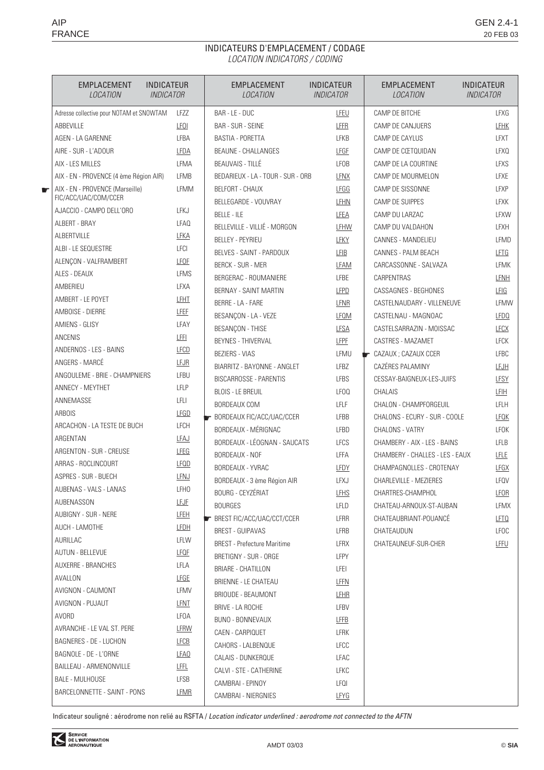## INDICATEURS D'EMPLACEMENT / CODAGE LOCATION INDICATORS / CODING

| <b>INDICATEUR</b><br>EMPLACEMENT<br><i><b>INDICATOR</b></i><br><i>LOCATION</i> |                  | EMPLACEMENT<br>LOCATION                    | <b>INDICATEUR</b><br><b>INDICATOR</b> | <b>EMPLACEMENT</b><br>LOCATION             | <b>INDICATEUR</b><br><b>INDICATOR</b> |
|--------------------------------------------------------------------------------|------------------|--------------------------------------------|---------------------------------------|--------------------------------------------|---------------------------------------|
| Adresse collective pour NOTAM et SNOWTAM                                       | LFZZ             | BAR - LE - DUC                             | LFEU                                  | CAMP DE BITCHE                             | <b>LFXG</b>                           |
| ABBEVILLE                                                                      | <b>LFOI</b>      | <b>BAR - SUR - SEINE</b>                   | LFFR                                  | CAMP DE CANJUERS                           | <b>LFHK</b>                           |
| AGEN - LA GARENNE                                                              | LFBA             | <b>BASTIA - PORETTA</b>                    | <b>LFKB</b>                           | CAMP DE CAYLUS                             | <b>LFXT</b>                           |
| AIRE - SUR - L'ADOUR                                                           | LFDA             | <b>BEAUNE - CHALLANGES</b>                 | <b>LFGF</b>                           | CAMP DE CŒTQUIDAN                          | LFXQ                                  |
| AIX - LES MILLES                                                               | LFMA             | <b>BEAUVAIS - TILLÉ</b>                    | LFOB                                  | CAMP DE LA COURTINE                        | LFXS                                  |
| AIX - EN - PROVENCE (4 ème Région AIR)                                         | <b>LFMB</b>      | BEDARIEUX - LA - TOUR - SUR - ORB          | <b>LFNX</b>                           | CAMP DE MOURMELON                          | <b>LFXE</b>                           |
| AIX - EN - PROVENCE (Marseille)<br>€<br>FIC/ACC/UAC/COM/CCER                   | LFMM             | <b>BELFORT - CHAUX</b>                     | <b>LFGG</b>                           | CAMP DE SISSONNE                           | <b>LFXP</b>                           |
| AJACCIO - CAMPO DELL'ORO                                                       | LFKJ             | BELLEGARDE - VOUVRAY                       | LFHN                                  | CAMP DE SUIPPES                            | <b>LFXK</b>                           |
| ALBERT - BRAY                                                                  | LFAQ             | <b>BELLE - ILE</b>                         | LFEA                                  | CAMP DU LARZAC                             | LFXW                                  |
| <b>ALBERTVILLE</b>                                                             | LFKA             | BELLEVILLE - VILLIÉ - MORGON               | LFHW                                  | CAMP DU VALDAHON                           | <b>LFXH</b>                           |
| ALBI - LE SEQUESTRE                                                            | <b>LFCI</b>      | <b>BELLEY - PEYRIEU</b>                    | LFKY                                  | CANNES - MANDELIEU                         | LFMD                                  |
| ALENCON - VALFRAMBERT                                                          | LFOF             | BELVES - SAINT - PARDOUX                   | LFIB                                  | CANNES - PALM BEACH                        | LFTG                                  |
| ALES - DEAUX                                                                   | <b>LFMS</b>      | <b>BERCK - SUR - MER</b>                   | LFAM                                  | CARCASSONNE - SALVAZA                      | <b>LFMK</b>                           |
| AMBERIEU                                                                       | LFXA             | BERGERAC - ROUMANIERE                      | <b>LFBE</b>                           | CARPENTRAS                                 | LFNH                                  |
| AMBERT - LE POYET                                                              | <b>LFHT</b>      | BERNAY - SAINT MARTIN                      | <b>LFPD</b>                           | CASSAGNES - BEGHONES                       | LFIG                                  |
| AMBOISE - DIERRE                                                               |                  | BERRE - LA - FARE                          | LFNR                                  | CASTELNAUDARY - VILLENEUVE                 | LFMW                                  |
|                                                                                | LFEF             | BESANCON - LA - VEZE                       | <b>LFOM</b>                           | CASTELNAU - MAGNOAC                        | <b>LFDQ</b>                           |
| AMIENS - GLISY                                                                 | LFAY             | BESANÇON - THISE                           | <b>LFSA</b>                           | CASTELSARRAZIN - MOISSAC                   | <b>LFCX</b>                           |
| ANCENIS                                                                        | LFFL             | <b>BEYNES - THIVERVAL</b>                  | <b>LFPF</b>                           | CASTRES - MAZAMET                          | <b>LFCK</b>                           |
| ANDERNOS - LES - BAINS                                                         | LECD             | <b>BEZIERS - VIAS</b>                      | LFMU                                  | $\blacktriangleright$ CAZAUX ; CAZAUX CCER | <b>LFBC</b>                           |
| ANGERS - MARCÉ                                                                 | LFJR             | BIARRITZ - BAYONNE - ANGLET                | LFBZ                                  | CAZÉRES PALAMINY                           | <b>LFJH</b>                           |
| ANGOULEME - BRIE - CHAMPNIERS                                                  | LFBU             | BISCARROSSE - PARENTIS                     | <b>LFBS</b>                           | CESSAY-BAIGNEUX-LES-JUIFS                  | <b>LFSY</b>                           |
| ANNECY - MEYTHET                                                               | LFLP             | <b>BLOIS - LE BREUIL</b>                   | LFOQ                                  | CHALAIS                                    | <b>LFIH</b>                           |
| ANNEMASSE                                                                      | LFLI             | BORDEAUX COM                               | <b>LFLF</b>                           | CHALON - CHAMPFORGEUIL                     | LFLH                                  |
| <b>ARBOIS</b>                                                                  | LFGD             | BORDEAUX FIC/ACC/UAC/CCER                  | LFBB                                  | CHALONS - ECURY - SUR - COOLE              | <b>LFOK</b>                           |
| ARCACHON - LA TESTE DE BUCH                                                    | LFCH             | BORDEAUX - MÉRIGNAC                        | LFBD                                  | CHALONS - VATRY                            | LFOK                                  |
| ARGENTAN                                                                       | <b>LFAJ</b>      | BORDEAUX - LÉOGNAN - SAUCATS               | <b>LFCS</b>                           | CHAMBERY - AIX - LES - BAINS               | LFLB                                  |
| ARGENTON - SUR - CREUSE                                                        | LFEG             | <b>BORDEAUX - NOF</b>                      | LFFA                                  | CHAMBERY - CHALLES - LES - EAUX            | LELE                                  |
| ARRAS - ROCLINCOURT                                                            | <b>LFQD</b>      | BORDEAUX - YVRAC                           | LFDY                                  | CHAMPAGNOLLES - CROTENAY                   | <b>LFGX</b>                           |
| ASPRES - SUR - BUECH                                                           | LFNJ             | BORDEAUX - 3 ème Région AIR                | LFXJ                                  | CHARLEVILLE - MEZIERES                     | LFQV                                  |
| AUBENAS - VALS - LANAS                                                         | LFHO             | <b>BOURG - CEYZERIAT</b>                   | LFHS                                  | CHARTRES-CHAMPHOL                          | LFOR                                  |
| AUBENASSON                                                                     | LFJF             | <b>BOURGES</b>                             | LFLD                                  | CHATEAU-ARNOUX-ST-AUBAN                    | LFMX                                  |
| AUBIGNY - SUR - NERE                                                           | <b>LFEH</b>      | <b>EXECUTE:</b> BREST FIC/ACC/UAC/CCT/CCER | LFRR                                  | CHATEAUBRIANT-POUANCE                      | LFTQ                                  |
| AUCH - LAMOTHE                                                                 | <u>LFDH</u>      | <b>BREST - GUIPAVAS</b>                    | LFRB                                  | CHATEAUDUN                                 | <b>LFOC</b>                           |
| AURILLAC                                                                       | LFLW             | <b>BREST</b> - Prefecture Maritime         | LFRX                                  | CHATEAUNEUF-SUR-CHER                       | LFFU                                  |
| <b>AUTUN - BELLEVUE</b>                                                        | <b>LFQF</b>      | BRETIGNY - SUR - ORGE                      | LFPY                                  |                                            |                                       |
| AUXERRE - BRANCHES                                                             | LFLA             | BRIARE - CHATILLON                         | LFEI                                  |                                            |                                       |
| AVALLON                                                                        | <b>LFGE</b>      | BRIENNE - LE CHATEAU                       | LFFN                                  |                                            |                                       |
| AVIGNON - CAUMONT                                                              | LFMV             | BRIOUDE - BEAUMONT                         | <u>LFHR</u>                           |                                            |                                       |
| AVIGNON - PUJAUT                                                               | LFNT             | BRIVE - LA ROCHE                           | LFBV                                  |                                            |                                       |
| AVORD                                                                          | LFOA             | BUNO - BONNEVAUX                           | <b>LFFB</b>                           |                                            |                                       |
| AVRANCHE - LE VAL ST. PERE                                                     | LFRW             | CAEN - CARPIQUET                           | LFRK                                  |                                            |                                       |
| BAGNERES - DE - LUCHON                                                         | <b>LFCB</b>      | CAHORS - LALBENQUE                         | <b>LFCC</b>                           |                                            |                                       |
| BAGNOLE - DE - L'ORNE                                                          | LFA <sub>0</sub> | CALAIS - DUNKERQUE                         | LFAC                                  |                                            |                                       |
| BAILLEAU - ARMENONVILLE                                                        | <u>LFFL</u>      | CALVI - STE - CATHERINE                    | LFKC                                  |                                            |                                       |
| <b>BALE - MULHOUSE</b>                                                         | LFSB             | CAMBRAI - EPINOY                           | LFQI                                  |                                            |                                       |
| BARCELONNETTE - SAINT - PONS                                                   | LFMR             | CAMBRAI - NIERGNIES                        | LFYG                                  |                                            |                                       |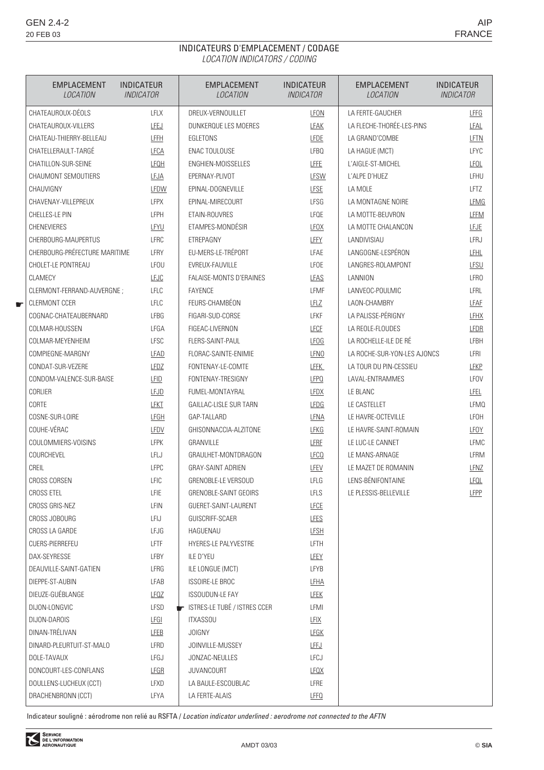## INDICATEURS D'EMPLACEMENT / CODAGE LOCATION INDICATORS / CODING

|   | EMPLACEMENT<br><b>LOCATION</b>   | <b>INDICATEUR</b><br><b>INDICATOR</b> | EMPLACEMENT<br><b>LOCATION</b> | <b>INDICATEUR</b><br><b>INDICATOR</b> | <b>EMPLACEMENT</b><br>LOCATION | <b>INDICATEUR</b><br><b>INDICATOR</b> |
|---|----------------------------------|---------------------------------------|--------------------------------|---------------------------------------|--------------------------------|---------------------------------------|
|   | CHATEAUROUX-DÉOLS<br><b>LFLX</b> |                                       | DREUX-VERNOUILLET              | LFON                                  | LA FERTE-GAUCHER               | LFFG                                  |
|   | CHATEAUROUX-VILLERS              | LFEJ                                  | DUNKEROUE LES MOERES           | <b>LFAK</b>                           | LA FLECHE-THORÉE-LES-PINS      | LFAL                                  |
|   | CHATEAU-THIERRY-BELLEAU          | LFFH                                  | EGLETONS                       | <b>LFDE</b>                           | LA GRAND'COMBE                 | LFTN                                  |
|   | CHATELLERAULT-TARGÉ              | LFCA                                  | ENAC TOULOUSE                  | LFBQ                                  | LA HAGUE (MCT)                 | LFYC                                  |
|   | CHATILLON-SUR-SEINE              | <b>LFQH</b>                           | ENGHIEN-MOISSELLES             | LFFE                                  | L'AIGLE-ST-MICHEL              | <b>LFOL</b>                           |
|   | CHAUMONT SEMOUTIERS              | LEJA                                  | EPERNAY-PLIVOT                 | <b>LFSW</b>                           | L'ALPE D'HUEZ                  | LFHU                                  |
|   | CHAUVIGNY                        | LFDW                                  | EPINAL-DOGNEVILLE              | <b>LFSE</b>                           | LA MOLE                        | LFTZ                                  |
|   | CHAVENAY-VILLEPREUX              | <b>LFPX</b>                           | EPINAL-MIRECOURT               | LFSG                                  | LA MONTAGNE NOIRE              | LFMG                                  |
|   | CHELLES-LE PIN                   | LFPH                                  | ETAIN-ROUVRES                  | LFQE                                  | LA MOTTE-BEUVRON               | LFFM                                  |
|   | <b>CHENEVIERES</b>               | LFYU                                  | ETAMPES-MONDÉSIR               | <b>LFOX</b>                           | LA MOTTE CHALANCON             | LFJE                                  |
|   | CHERBOURG-MAUPERTUS              | <b>LFRC</b>                           | ETREPAGNY                      | LFFY                                  | LANDIVISIAU                    | LFRJ                                  |
|   | CHERBOURG-PRÉFECTURE MARITIME    | LFRY                                  | EU-MERS-LE-TRÉPORT             | LFAE                                  | LANGOGNE-LESPÉRON              | LFHL                                  |
|   | CHOLET-LE PONTREAU               | <b>LFOU</b>                           | EVREUX-FAUVILLE                | LFOE                                  | LANGRES-ROLAMPONT              | LFSU                                  |
|   | <b>CLAMECY</b>                   | <b>LFJC</b>                           | FALAISE-MONTS D'ERAINES        | LFAS                                  | LANNION                        | <b>LFRO</b>                           |
|   | CLERMONT-FERRAND-AUVERGNE ;      | LFLC                                  | <b>FAYENCE</b>                 | LFMF                                  | LANVEOC-POULMIC                | <b>LFRL</b>                           |
| Æ | <b>CLERMONT CCER</b>             | LFLC                                  | FEURS-CHAMBÉON                 | LFLZ                                  | LAON-CHAMBRY                   | LFAF                                  |
|   | COGNAC-CHATEAUBERNARD            | <b>LFBG</b>                           | FIGARI-SUD-CORSE               | <b>LFKF</b>                           | LA PALISSE-PÉRIGNY             | <b>LFHX</b>                           |
|   | COLMAR-HOUSSEN                   | LFGA                                  | FIGEAC-LIVERNON                | <b>LFCF</b>                           | LA REOLE-FLOUDES               | LFDR                                  |
|   | COLMAR-MEYENHEIM                 | <b>LFSC</b>                           | <b>FLERS-SAINT-PAUL</b>        | <b>LFOG</b>                           | LA ROCHELLE-ILE DE RÉ          | <b>LFBH</b>                           |
|   | COMPIEGNE-MARGNY                 | LFAD                                  | FLORAC-SAINTE-ENIMIE           | <b>LFNO</b>                           | LA ROCHE-SUR-YON-LES AJONCS    | LFRI                                  |
|   | CONDAT-SUR-VEZERE                | <b>LFDZ</b>                           | FONTENAY-LE-COMTE              | LFFK                                  | LA TOUR DU PIN-CESSIEU         | LFKP                                  |
|   | CONDOM-VALENCE-SUR-BAISE         | LFID                                  | FONTENAY-TRESIGNY              | <b>LFPQ</b>                           | LAVAL-ENTRAMMES                | LFOV                                  |
|   | CORLIER                          | <b>LFJD</b>                           | FUMEL-MONTAYRAL                | <b>LFDX</b>                           | LE BLANC                       | LFEL                                  |
|   | CORTE                            | LFKT                                  | <b>GAILLAC-LISLE SUR TARN</b>  | <b>LFDG</b>                           | LE CASTELLET                   | <b>LFMQ</b>                           |
|   | COSNE-SUR-LOIRE                  | <b>LFGH</b>                           | GAP-TALLARD                    | LFNA                                  | LE HAVRE-OCTEVILLE             | LFOH                                  |
|   | COUHE-VÉRAC                      | LFDV                                  | GHISONNACCIA-ALZITONE          | LFKG                                  | LE HAVRE-SAINT-ROMAIN          | LFOY                                  |
|   | COULOMMIERS-VOISINS              | <b>LFPK</b>                           | GRANVILLE                      | LFRF                                  | LE LUC-LE CANNET               | <b>LFMC</b>                           |
|   | COURCHEVEL                       | LFLJ                                  | GRAULHET-MONTDRAGON            | <b>LFCQ</b>                           | LE MANS-ARNAGE                 | LFRM                                  |
|   | CREIL                            | <b>LFPC</b>                           | <b>GRAY-SAINT ADRIEN</b>       | LFEV                                  | LE MAZET DE ROMANIN            | LFNZ                                  |
|   | <b>CROSS CORSEN</b>              | LFIC                                  | GRENOBLE-LE VERSOUD            | LFLG                                  | LENS-BÉNIFONTAINE              | LFOL                                  |
|   | <b>CROSS ETEL</b>                | LFIE                                  | GRENOBLE-SAINT GEOIRS          | LFLS                                  | LE PLESSIS-BELLEVILLE          | LFPP                                  |
|   | CROSS GRIS-NEZ                   | LFIN                                  | GUERET-SAINT-LAURENT           | <b>LFCE</b>                           |                                |                                       |
|   | CROSS JOBOURG                    | LFIJ                                  | GUISCRIFF-SCAER                | <b>LFES</b>                           |                                |                                       |
|   | CROSS LA GARDE                   | LFJG                                  | HAGUENAU                       | <b>LFSH</b>                           |                                |                                       |
|   | CUERS-PIERREFEU                  | LFTF                                  | HYERES-LE PALYVESTRE           | LFTH                                  |                                |                                       |
|   | DAX-SEYRESSE                     | LFBY                                  | ILE D'YEU                      | <b>LFEY</b>                           |                                |                                       |
|   | DEAUVILLE-SAINT-GATIEN           | LFRG                                  | ILE LONGUE (MCT)               | LFYB                                  |                                |                                       |
|   | DIEPPE-ST-AUBIN                  | LFAB                                  | ISSOIRE-LE BROC                | <b>LFHA</b>                           |                                |                                       |
|   | DIEUZE-GUÉBLANGE                 | <b>LFOZ</b>                           | <b>ISSOUDUN-LE FAY</b>         | <b>LFEK</b>                           |                                |                                       |
|   | DIJON-LONGVIC                    | LFSD                                  | ISTRES-LE TUBÉ / ISTRES CCER   | LFMI                                  |                                |                                       |
|   | DIJON-DAROIS                     | <b>LFGI</b>                           | <b>ITXASSOU</b>                | <b>LFIX</b>                           |                                |                                       |
|   | DINAN-TRÉLIVAN                   | <b>LFEB</b>                           | <b>JOIGNY</b>                  | <b>LFGK</b>                           |                                |                                       |
|   | DINARD-PLEURTUIT-ST-MALO         | LFRD                                  | JOINVILLE-MUSSEY               | LFFJ                                  |                                |                                       |
|   | DOLE-TAVAUX                      | LFGJ                                  | JONZAC-NEULLES                 | LFCJ                                  |                                |                                       |
|   | DONCOURT-LES-CONFLANS            | <b>LFGR</b>                           | <b>JUVANCOURT</b>              | <b>LFOX</b>                           |                                |                                       |
|   | DOULLENS-LUCHEUX (CCT)           | LFXD                                  | LA BAULE-ESCOUBLAC             | LFRE                                  |                                |                                       |
|   | DRACHENBRONN (CCT)               | LFYA                                  | LA FERTE-ALAIS                 | <b>LFFQ</b>                           |                                |                                       |
|   |                                  |                                       |                                |                                       |                                |                                       |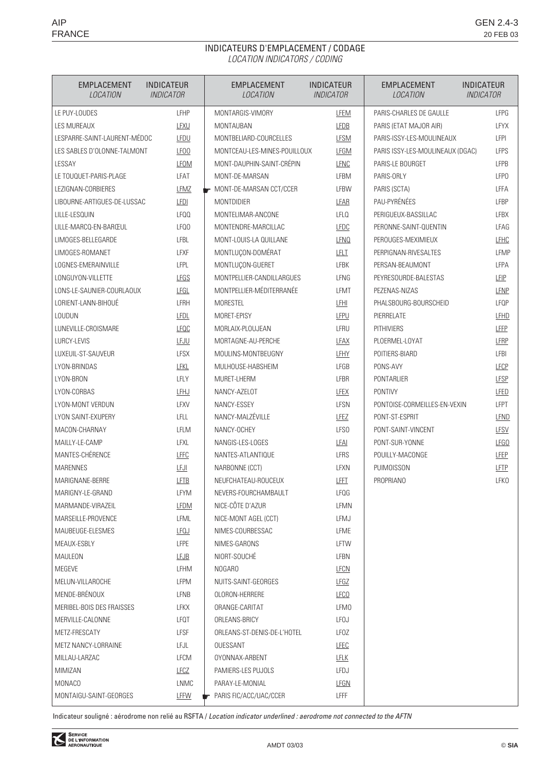## INDICATEURS D'EMPLACEMENT / CODAGE LOCATION INDICATORS / CODING

| <b>EMPLACEMENT</b><br>LOCATION | <b>INDICATEUR</b><br><b>INDICATOR</b> | <b>EMPLACEMENT</b><br>LOCATION | <b>INDICATEUR</b><br><b>INDICATOR</b> | <b>EMPLACEMENT</b><br>LOCATION   | <b>INDICATEUR</b><br><b>INDICATOR</b> |  |
|--------------------------------|---------------------------------------|--------------------------------|---------------------------------------|----------------------------------|---------------------------------------|--|
| LE PUY-LOUDES                  | <b>LFHP</b>                           | MONTARGIS-VIMORY               | <b>LFEM</b>                           | PARIS-CHARLES DE GAULLE          | LFPG                                  |  |
| LES MUREAUX                    | LFXU                                  | <b>MONTAUBAN</b>               | <b>LFDB</b>                           | PARIS (ETAT MAJOR AIR)           | LFYX                                  |  |
| LESPARRE-SAINT-LAURENT-MÉDOC   | LFDU                                  | MONTBELIARD-COURCELLES         | <b>LFSM</b>                           | PARIS-ISSY-LES-MOULINEAUX        | LFPI                                  |  |
| LES SABLES D'OLONNE-TALMONT    | <b>LF00</b>                           | MONTCEAU-LES-MINES-POUILLOUX   | <b>LFGM</b>                           | PARIS ISSY-LES-MOULINEAUX (DGAC) | LFPS                                  |  |
| LESSAY                         | <b>LFOM</b>                           | MONT-DAUPHIN-SAINT-CRÉPIN      | <b>LFNC</b>                           | PARIS-LE BOURGET                 | <b>LFPB</b>                           |  |
| LE TOUQUET-PARIS-PLAGE         | LFAT                                  | MONT-DE-MARSAN                 | LFBM                                  | PARIS-ORLY                       | <b>LFPO</b>                           |  |
| LEZIGNAN-CORBIERES             | <b>LFMZ</b>                           | MONT-DE-MARSAN CCT/CCER        | LFBW                                  | PARIS (SCTA)                     | LFFA                                  |  |
| LIBOURNE-ARTIGUES-DE-LUSSAC    | <b>LFDI</b>                           | <b>MONTDIDIER</b>              | LFAR                                  | PAU-PYRÉNÉES                     | LFBP                                  |  |
| LILLE-LESQUIN                  | LFQQ                                  | MONTELIMAR-ANCONE              | <b>LFLO</b>                           | PERIGUEUX-BASSILLAC              | LFBX                                  |  |
| LILLE-MARCQ-EN-BARŒUL          | LFQ0                                  | MONTENDRE-MARCILLAC            | <b>LFDC</b>                           | PERONNE-SAINT-QUENTIN            | LFAG                                  |  |
| LIMOGES-BELLEGARDE             | LFBL                                  | MONT-LOUIS-LA QUILLANE         | <b>LFNO</b>                           | PEROUGES-MEXIMIEUX               | LFHC                                  |  |
| LIMOGES-ROMANET                | LFXF                                  | MONTLUÇON-DOMÉRAT              | LFLT                                  | PERPIGNAN-RIVESALTES             | LFMP                                  |  |
| LOGNES-EMERAINVILLE            | LFPL                                  | MONTLUÇON-GUERET               | LFBK                                  | PERSAN-BEAUMONT                  | LFPA                                  |  |
| LONGUYON-VILLETTE              | LFGS                                  | MONTPELLIER-CANDILLARGUES      | LFNG                                  | PEYRESOURDE-BALESTAS             | LFIP                                  |  |
| LONS-LE-SAUNIER-COURLAOUX      | LFGL                                  | MONTPELLIER-MÉDITERRANÉE       | LFMT                                  | PEZENAS-NIZAS                    | LFNP                                  |  |
| LORIENT-LANN-BIHOUÉ            | LFRH                                  | <b>MORESTEL</b>                | LFHI                                  | PHALSBOURG-BOURSCHEID            | LFQP                                  |  |
| LOUDUN                         | <b>LFDL</b>                           | MORET-EPISY                    | LFPU                                  | PIERRELATE                       | LFHD                                  |  |
| LUNEVILLE-CROISMARE            | <b>LFQC</b>                           | MORLAIX-PLOUJEAN               | LFRU                                  | <b>PITHIVIERS</b>                | LFFP                                  |  |
| LURCY-LEVIS                    | LFJU                                  | MORTAGNE-AU-PERCHE             | LFAX                                  | PLOERMEL-LOYAT                   | LFRP                                  |  |
| LUXEUIL-ST-SAUVEUR             | <b>LFSX</b>                           | MOULINS-MONTBEUGNY             | LFHY                                  | POITIERS-BIARD                   | LFBI                                  |  |
| LYON-BRINDAS                   | <b>LFKL</b>                           | MULHOUSE-HABSHEIM              | LFGB                                  | PONS-AVY                         | LFCP                                  |  |
| LYON-BRON                      | LFLY                                  | MURET-LHERM                    | LFBR                                  | <b>PONTARLIER</b>                | <b>LFSP</b>                           |  |
| LYON-CORBAS                    | LFHJ                                  | NANCY-AZELOT                   | <b>LFEX</b>                           | <b>PONTIVY</b>                   | LFED                                  |  |
| LYON-MONT VERDUN               | LFXV                                  | NANCY-ESSEY                    | LFSN                                  | PONTOISE-CORMEILLES-EN-VEXIN     | LFPT                                  |  |
| LYON SAINT-EXUPERY             | LFLL                                  | NANCY-MALZÉVILLE               | <b>LFEZ</b>                           | PONT-ST-ESPRIT                   | LFND                                  |  |
| MACON-CHARNAY                  | LFLM                                  | NANCY-OCHEY                    | LFS <sub>0</sub>                      | PONT-SAINT-VINCENT               | <b>LFSV</b>                           |  |
| MAILLY-LE-CAMP                 | LFXL                                  | NANGIS-LES-LOGES               | <b>LFAI</b>                           | PONT-SUR-YONNE                   | LFGO                                  |  |
| MANTES-CHÉRENCE                | LFFC                                  | NANTES-ATLANTIQUE              | LFRS                                  | POUILLY-MACONGE                  | <b>LFEP</b>                           |  |
| <b>MARENNES</b>                | LFJI                                  | NARBONNE (CCT)                 | <b>LFXN</b>                           | PUIMOISSON                       | LFTP                                  |  |
| MARIGNANE-BERRE                | LFTB                                  | NEUFCHATEAU-ROUCEUX            | LFFT                                  | <b>PROPRIANO</b>                 | <b>LFKO</b>                           |  |
| MARIGNY-LE-GRAND               | LFYM                                  | NEVERS-FOURCHAMBAULT           | LFQG                                  |                                  |                                       |  |
| MARMANDE-VIRAZEIL              | <b>LFDM</b>                           | NICE-CÔTE D'AZUR               | LFMN                                  |                                  |                                       |  |
| MARSEILLE-PROVENCE             | LFML                                  | NICE-MONT AGEL (CCT)           | LFMJ                                  |                                  |                                       |  |
| MAUBEUGE-ELESMES               | <b>LFQJ</b>                           | NIMES-COURBESSAC               | LFME                                  |                                  |                                       |  |
| MEAUX-ESBLY                    | LFPE                                  | NIMES-GARONS                   | LFTW                                  |                                  |                                       |  |
| MAULEON                        | <b>LFJB</b>                           | NIORT-SOUCHÉ                   | LFBN                                  |                                  |                                       |  |
| MEGEVE                         | LFHM                                  | NOGARO                         | <b>LFCN</b>                           |                                  |                                       |  |
| MELUN-VILLAROCHE               | LFPM                                  | NUITS-SAINT-GEORGES            | LFGZ                                  |                                  |                                       |  |
| MENDE-BRÉNOUX                  | LFNB                                  | OLORON-HERRERE                 | <b>LFCO</b>                           |                                  |                                       |  |
| MERIBEL-BOIS DES FRAISSES      | LFKX                                  | ORANGE-CARITAT                 | LFM0                                  |                                  |                                       |  |
| MERVILLE-CALONNE               | LFQT                                  | ORLEANS-BRICY                  | <b>LFOJ</b>                           |                                  |                                       |  |
| METZ-FRESCATY                  | <b>LFSF</b>                           | ORLEANS-ST-DENIS-DE-L'HOTEL    | LFOZ                                  |                                  |                                       |  |
| METZ NANCY-LORRAINE            | LFJL                                  | OUESSANT                       | <b>LFEC</b>                           |                                  |                                       |  |
| MILLAU-LARZAC                  | LFCM                                  | OYONNAX-ARBENT                 | <b>LFLK</b>                           |                                  |                                       |  |
| MIMIZAN                        | <b>LFCZ</b>                           | PAMIERS-LES PUJOLS             | LFDJ                                  |                                  |                                       |  |
| <b>MONACO</b>                  | LNMC                                  | PARAY-LE-MONIAL                | LFGN                                  |                                  |                                       |  |
| MONTAIGU-SAINT-GEORGES         | LFFW                                  | PARIS FIC/ACC/UAC/CCER         | LFFF                                  |                                  |                                       |  |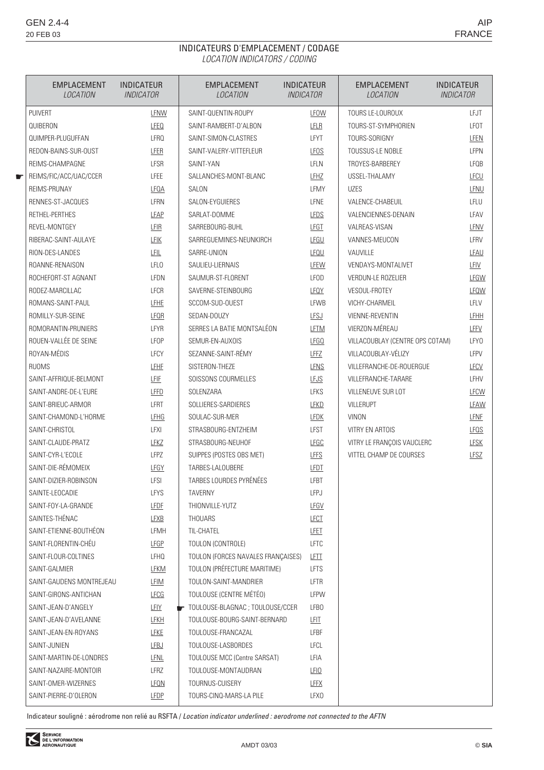☛

### INDICATEURS D'EMPLACEMENT / CODAGE LOCATION INDICATORS / CODING

| <b>EMPLACEMENT</b><br>LOCATION | <b>INDICATEUR</b><br><i><b>INDICATOR</b></i> | <b>EMPLACEMENT</b><br><b>LOCATION</b> | <b>INDICATEUR</b><br><b>INDICATOR</b> | <b>EMPLACEMENT</b><br>LOCATION  | <b>INDICATEUR</b><br><b>INDICATOR</b> |
|--------------------------------|----------------------------------------------|---------------------------------------|---------------------------------------|---------------------------------|---------------------------------------|
| <b>PUIVERT</b>                 | LFNW                                         | SAINT-QUENTIN-ROUPY                   | LFOW                                  | TOURS LE-LOUROUX                | <b>LFJT</b>                           |
| QUIBERON                       | <b>LFEQ</b>                                  | SAINT-RAMBERT-D'ALBON                 | LFLR                                  | TOURS-ST-SYMPHORIEN             | LFOT                                  |
| QUIMPER-PLUGUFFAN              | <b>LFRQ</b>                                  | SAINT-SIMON-CLASTRES                  | LFYT                                  | TOURS-SORIGNY                   | LFEN                                  |
| REDON-BAINS-SUR-OUST           | LFER                                         | SAINT-VALERY-VITTEFLEUR               | <b>LFOS</b>                           | <b>TOUSSUS-LE NOBLE</b>         | LFPN                                  |
| REIMS-CHAMPAGNE                | LFSR                                         | SAINT-YAN                             | LFLN                                  | TROYES-BARBEREY                 | LFQB                                  |
| REIMS/FIC/ACC/UAC/CCER         | <b>LFEE</b>                                  | SALLANCHES-MONT-BLANC                 | LFHZ                                  | USSEL-THALAMY                   | LFCU                                  |
| REIMS-PRUNAY                   | <b>LFOA</b>                                  | SALON                                 | LFMY                                  | <b>UZES</b>                     | LFNU                                  |
| RENNES-ST-JACQUES              | LFRN                                         | SALON-EYGUIERES                       | LFNE                                  | VALENCE-CHABEUIL                | LFLU                                  |
| RETHEL-PERTHES                 | <b>LFAP</b>                                  | SARLAT-DOMME                          | LFDS                                  | VALENCIENNES-DENAIN             | LFAV                                  |
| REVEL-MONTGEY                  | LFIR                                         | SARREBOURG-BUHL                       | <b>LFGT</b>                           | VALREAS-VISAN                   | LFNV                                  |
| RIBERAC-SAINT-AULAYE           | <b>LFIK</b>                                  | SARREGUEMINES-NEUNKIRCH               | LFGU                                  | VANNES-MEUCON                   | LFRV                                  |
| RION-DES-LANDES                | LFIL                                         | SARRE-UNION                           | LFQU                                  | VAUVILLE                        | LFAU                                  |
| ROANNE-RENAISON                | LFLO                                         | SAULIEU-LIERNAIS                      | LFEW                                  | VENDAYS-MONTALIVET              | LFIV                                  |
| ROCHEFORT-ST AGNANT            | LFDN                                         | SAUMUR-ST-FLORENT                     | <b>LFOD</b>                           | VERDUN-LE ROZELIER              | LFGW                                  |
| RODEZ-MARCILLAC                | <b>LFCR</b>                                  | SAVERNE-STEINBOURG                    | LFQY                                  | <b>VESOUL-FROTEY</b>            | LFQW                                  |
| ROMANS-SAINT-PAUL              | LFHE                                         | SCCOM-SUD-OUEST                       | LFWB                                  | VICHY-CHARMEIL                  | LFLV                                  |
| ROMILLY-SUR-SEINE              | LFQR                                         | SEDAN-DOUZY                           | LFSJ                                  | VIENNE-REVENTIN                 | LFHH                                  |
| ROMORANTIN-PRUNIERS            | LFYR                                         | SERRES LA BATIE MONTSALÉON            | <b>LFTM</b>                           | VIERZON-MÉREAU                  | LFFV                                  |
| ROUEN-VALLÉE DE SEINE          | <b>LFOP</b>                                  | SEMUR-EN-AUXOIS                       | <b>LFGQ</b>                           | VILLACOUBLAY (CENTRE OPS COTAM) | LFY <sub>0</sub>                      |
| ROYAN-MÉDIS                    | <b>LFCY</b>                                  | SEZANNE-SAINT-RÉMY                    | LFFZ                                  | VILLACOUBLAY-VÉLIZY             | LFPV                                  |
| <b>RUOMS</b>                   | LEHE                                         | SISTERON-THEZE                        | <b>LFNS</b>                           | VILLEFRANCHE-DE-ROUERGUE        | <b>LFCV</b>                           |
| SAINT-AFFRIQUE-BELMONT         | <b>LFIF</b>                                  | SOISSONS COURMELLES                   | LFJS                                  | VILLEFRANCHE-TARARE             | LFHV                                  |
| SAINT-ANDRE-DE-L'EURE          | LFFD                                         | SOLENZARA                             | <b>LFKS</b>                           | VILLENEUVE SUR LOT              | <b>LFCW</b>                           |
| SAINT-BRIEUC-ARMOR             | LFRT                                         | SOLLIERES-SARDIERES                   | <b>LFKD</b>                           | <b>VILLERUPT</b>                | LFAW                                  |
| SAINT-CHAMOND-L'HORME          | <b>LFHG</b>                                  | SOULAC-SUR-MER                        | <b>LFDK</b>                           | VINON                           | <b>LFNE</b>                           |
| SAINT-CHRISTOL                 | LFXI                                         | STRASBOURG-ENTZHEIM                   | <b>LFST</b>                           | VITRY EN ARTOIS                 | <b>LFOS</b>                           |
| SAINT-CLAUDE-PRATZ             | LFKZ                                         | STRASBOURG-NEUHOF                     | LFGC                                  | VITRY LE FRANÇOIS VAUCLERC      | <b>LFSK</b>                           |
| SAINT-CYR-L'ECOLE              | <b>LFPZ</b>                                  | SUIPPES (POSTES OBS MET)              | LFFS                                  | VITTEL CHAMP DE COURSES         | <b>LFSZ</b>                           |
| SAINT-DIE-RÉMOMEIX             | LFGY                                         | TARBES-LALOUBERE                      | LFDT                                  |                                 |                                       |
| SAINT-DIZIER-ROBINSON          | LFSI                                         | TARBES LOURDES PYRÉNÉES               | LFBT                                  |                                 |                                       |
| SAINTE-LEOCADIE                | <b>LFYS</b>                                  | <b>TAVERNY</b>                        | LFPJ                                  |                                 |                                       |
| SAINT-FOY-LA-GRANDE            | <b>LFDF</b>                                  | THIONVILLE-YUTZ                       | <b>LFGV</b>                           |                                 |                                       |
| SAINTES-THÉNAC                 | <b>LFXB</b>                                  | <b>THOUARS</b>                        | <b>LFCT</b>                           |                                 |                                       |
| SAINT-ETIENNE-BOUTHÉON         | LFMH                                         | TIL-CHATEL                            | LFET                                  |                                 |                                       |
| SAINT-FLORENTIN-CHÉU           | <b>LFGP</b>                                  | TOULON (CONTROLE)                     | <b>LFTC</b>                           |                                 |                                       |
| SAINT-FLOUR-COLTINES           | LFHQ                                         | TOULON (FORCES NAVALES FRANÇAISES)    | <u>LFTT</u>                           |                                 |                                       |
| SAINT-GALMIER                  | <b>LFKM</b>                                  | TOULON (PRÉFECTURE MARITIME)          | LFTS                                  |                                 |                                       |
| SAINT-GAUDENS MONTREJEAU       | LFIM                                         | TOULON-SAINT-MANDRIER                 | LFTR                                  |                                 |                                       |
| SAINT-GIRONS-ANTICHAN          | LFCG                                         | TOULOUSE (CENTRE MÉTÉO)               | LFPW                                  |                                 |                                       |
| SAINT-JEAN-D'ANGELY            | <b>LFIY</b>                                  | TOULOUSE-BLAGNAC; TOULOUSE/CCER       | LFB <sub>0</sub>                      |                                 |                                       |
| SAINT-JEAN-D'AVELANNE          | <b>LFKH</b>                                  | TOULOUSE-BOURG-SAINT-BERNARD          | LFIT                                  |                                 |                                       |
| SAINT-JEAN-EN-ROYANS           | LFKE                                         | TOULOUSE-FRANCAZAL                    | LFBF                                  |                                 |                                       |
| SAINT-JUNIEN                   | LFBJ                                         | TOULOUSE-LASBORDES                    | LFCL                                  |                                 |                                       |
| SAINT-MARTIN-DE-LONDRES        | <b>LFNL</b>                                  | <b>TOULOUSE MCC (Centre SARSAT)</b>   | LFIA                                  |                                 |                                       |
| SAINT-NAZAIRE-MONTOIR          | LFRZ                                         | TOULOUSE-MONTAUDRAN                   | LFIO                                  |                                 |                                       |
| SAINT-OMER-WIZERNES            | <b>LFON</b>                                  | TOURNUS-CUISERY                       | <b>LFFX</b>                           |                                 |                                       |
| SAINT-PIERRE-D'OLERON          | LFDP                                         | TOURS-CINQ-MARS-LA PILE               | LFX <sub>0</sub>                      |                                 |                                       |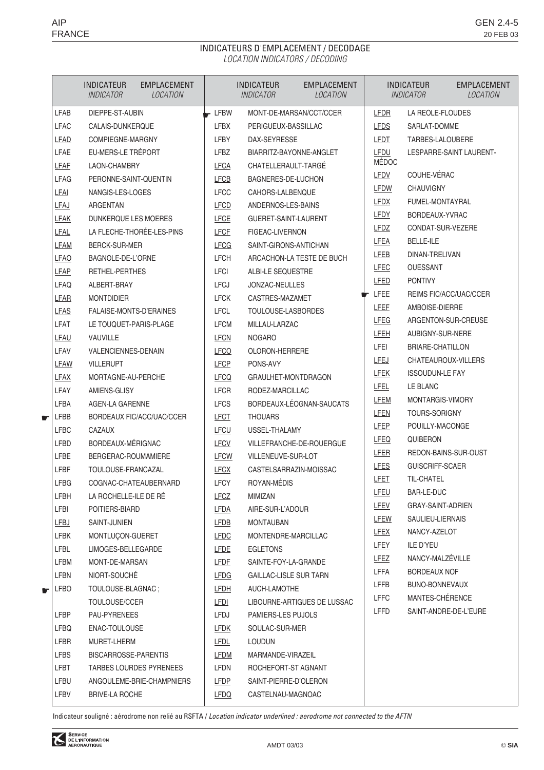# INDICATEURS D'EMPLACEMENT / DECODAGE LOCATION INDICATORS / DECODING

|   |             | <b>INDICATEUR</b><br>EMPLACEMENT<br><i><b>INDICATOR</b></i><br>LOCATION |                               | <b>INDICATEUR</b><br><i><b>INDICATOR</b></i> | <b>EMPLACEMENT</b><br>LOCATION |                            | <b>INDICATEUR</b><br><i><b>INDICATOR</b></i> | <b>EMPLACEMENT</b><br>LOCATION |
|---|-------------|-------------------------------------------------------------------------|-------------------------------|----------------------------------------------|--------------------------------|----------------------------|----------------------------------------------|--------------------------------|
|   | <b>LFAB</b> | DIEPPE-ST-AUBIN                                                         | $\overline{\phantom{a}}$ LFBW |                                              | MONT-DE-MARSAN/CCT/CCER        | LFDR                       | LA REOLE-FLOUDES                             |                                |
|   | <b>LFAC</b> | CALAIS-DUNKERQUE                                                        | <b>LFBX</b>                   | PERIGUEUX-BASSILLAC                          |                                | <b>LFDS</b>                | SARLAT-DOMME                                 |                                |
|   | <b>LFAD</b> | COMPIEGNE-MARGNY                                                        | LFBY                          | DAX-SEYRESSE                                 |                                | LFDT                       | TARBES-LALOUBERE                             |                                |
|   | LFAE        | EU-MERS-LE TRÉPORT                                                      | LFBZ                          | BIARRITZ-BAYONNE-ANGLET                      |                                | <b>LFDU</b>                |                                              | LESPARRE-SAINT LAURENT-        |
|   | LFAF        | LAON-CHAMBRY                                                            | <b>LFCA</b>                   | CHATELLERAULT-TARGE                          |                                | <b>MÉDOC</b>               |                                              |                                |
|   | <b>LFAG</b> | PERONNE-SAINT-QUENTIN                                                   | <b>LFCB</b>                   | BAGNERES-DE-LUCHON                           |                                | LFDV                       | COUHE-VÉRAC                                  |                                |
|   | <b>LFAI</b> | NANGIS-LES-LOGES                                                        | <b>LFCC</b>                   | CAHORS-LALBENQUE                             |                                | LFDW                       | <b>CHAUVIGNY</b>                             |                                |
|   | LFAJ        | ARGENTAN                                                                | <b>LFCD</b>                   | ANDERNOS-LES-BAINS                           |                                | <b>LFDX</b>                | FUMEL-MONTAYRAL                              |                                |
|   | <b>LFAK</b> | DUNKERQUE LES MOERES                                                    | LFCE                          | GUERET-SAINT-LAURENT                         |                                | <b>LFDY</b>                | BORDEAUX-YVRAC                               |                                |
|   | <b>LFAL</b> | LA FLECHE-THORÉE-LES-PINS                                               | <b>LFCF</b>                   | FIGEAC-LIVERNON                              |                                | <b>LFDZ</b>                | CONDAT-SUR-VEZERE                            |                                |
|   | <b>LFAM</b> | BERCK-SUR-MER                                                           | <b>LFCG</b>                   | SAINT-GIRONS-ANTICHAN                        |                                | LFEA                       | <b>BELLE-ILE</b>                             |                                |
|   | <b>LFAO</b> | BAGNOLE-DE-L'ORNE                                                       | <b>LFCH</b>                   |                                              | ARCACHON-LA TESTE DE BUCH      | LFEB                       | DINAN-TRELIVAN                               |                                |
|   | <b>LFAP</b> | <b>RETHEL-PERTHES</b>                                                   | LFCI                          | ALBI-LE SEQUESTRE                            |                                | LFEC                       | <b>OUESSANT</b>                              |                                |
|   | <b>LFAQ</b> | ALBERT-BRAY                                                             | <b>LFCJ</b>                   | JONZAC-NEULLES                               |                                | <b>LFED</b>                | <b>PONTIVY</b>                               |                                |
|   | LFAR        | <b>MONTDIDIER</b>                                                       | <b>LFCK</b>                   | CASTRES-MAZAMET                              |                                | $\blacktriangleright$ LFEE | REIMS FIC/ACC/UAC/CCER                       |                                |
|   | <b>LFAS</b> | FALAISE-MONTS-D'ERAINES                                                 | <b>LFCL</b>                   | TOULOUSE-LASBORDES                           |                                | <b>LFEF</b>                | AMBOISE-DIERRE                               |                                |
|   | <b>LFAT</b> | LE TOUQUET-PARIS-PLAGE                                                  | <b>LFCM</b>                   | MILLAU-LARZAC                                |                                | LFEG                       | ARGENTON-SUR-CREUSE                          |                                |
|   | LFAU        | <b>VAUVILLE</b>                                                         | <b>LFCN</b>                   | <b>NOGARO</b>                                |                                | <b>LFEH</b>                | AUBIGNY-SUR-NERE                             |                                |
|   | LFAV        | VALENCIENNES-DENAIN                                                     | <b>LFCO</b>                   | OLORON-HERRERE                               |                                | LFEI                       | BRIARE-CHATILLON                             |                                |
|   | LFAW        | <b>VILLERUPT</b>                                                        | LFCP                          | PONS-AVY                                     |                                | LFEJ                       | CHATEAUROUX-VILLERS                          |                                |
|   | <b>LFAX</b> | MORTAGNE-AU-PERCHE                                                      | <b>LFCQ</b>                   | GRAULHET-MONTDRAGON                          |                                | <b>LFEK</b>                | <b>ISSOUDUN-LE FAY</b>                       |                                |
|   | LFAY        | AMIENS-GLISY                                                            | <b>LFCR</b>                   | RODEZ-MARCILLAC                              |                                | <b>LFEL</b>                | LE BLANC                                     |                                |
|   | LFBA        | AGEN-LA GARENNE                                                         | <b>LFCS</b>                   |                                              | BORDEAUX-LÉOGNAN-SAUCATS       | LFEM                       | MONTARGIS-VIMORY                             |                                |
| € | LFBB        | BORDEAUX FIC/ACC/UAC/CCER                                               | LFCT                          | <b>THOUARS</b>                               |                                | LFEN                       | <b>TOURS-SORIGNY</b>                         |                                |
|   | <b>LFBC</b> | <b>CAZAUX</b>                                                           | <b>LFCU</b>                   | USSEL-THALAMY                                |                                | LFEP                       | POUILLY-MACONGE                              |                                |
|   | <b>LFBD</b> | BORDEAUX-MÉRIGNAC                                                       | <b>LFCV</b>                   |                                              | VILLEFRANCHE-DE-ROUERGUE       | LFEQ                       | QUIBERON                                     |                                |
|   | LFBE        | BERGERAC-ROUMAMIERE                                                     | <b>LFCW</b>                   | VILLENEUVE-SUR-LOT                           |                                | <b>LFER</b>                | REDON-BAINS-SUR-OUST                         |                                |
|   | <b>LFBF</b> | TOULOUSE-FRANCAZAL                                                      | <b>LFCX</b>                   | CASTELSARRAZIN-MOISSAC                       |                                | LFES                       | <b>GUISCRIFF-SCAER</b><br><b>TIL-CHATEL</b>  |                                |
|   | <b>LFBG</b> | COGNAC-CHATEAUBERNARD                                                   | <b>LFCY</b>                   | ROYAN-MÉDIS                                  |                                | <b>LFET</b>                | BAR-LE-DUC                                   |                                |
|   | <b>LFBH</b> | LA ROCHELLE-ILE DE RÉ                                                   | LFCZ                          | MIMIZAN                                      |                                | LFEU                       | <b>GRAY-SAINT-ADRIEN</b>                     |                                |
|   | LFBI        | POITIERS-BIARD                                                          | <b>LFDA</b>                   | AIRE-SUR-L'ADOUR                             |                                | <b>LFEV</b>                | SAULIEU-LIERNAIS                             |                                |
|   | <b>LFBJ</b> | SAINT-JUNIEN                                                            | <b>LFDB</b>                   | <b>MONTAUBAN</b>                             |                                | <u>LFEW</u><br><u>LFEX</u> | NANCY-AZELOT                                 |                                |
|   | <b>LFBK</b> | MONTLUÇON-GUERET                                                        | <b>LFDC</b>                   | MONTENDRE-MARCILLAC                          |                                | <b>LFEY</b>                | <b>ILE D'YEU</b>                             |                                |
|   | LFBL        | LIMOGES-BELLEGARDE                                                      | <b>LFDE</b>                   | <b>EGLETONS</b>                              |                                | LFEZ                       | NANCY-MALZÉVILLE                             |                                |
|   | LFBM        | MONT-DE-MARSAN                                                          | <u>LFDF</u>                   | SAINTE-FOY-LA-GRANDE                         |                                | LFFA                       | <b>BORDEAUX NOF</b>                          |                                |
|   | LFBN        | NIORT-SOUCHÉ                                                            | <b>LFDG</b>                   | <b>GAILLAC-LISLE SUR TARN</b>                |                                | LFFB                       | BUNO-BONNEVAUX                               |                                |
| € | <b>LFBO</b> | TOULOUSE-BLAGNAC;                                                       | <b>LFDH</b>                   | AUCH-LAMOTHE                                 |                                | <b>LFFC</b>                | MANTES-CHÉRENCE                              |                                |
|   |             | TOULOUSE/CCER                                                           | LFDI                          |                                              | LIBOURNE-ARTIGUES DE LUSSAC    | <b>LFFD</b>                | SAINT-ANDRE-DE-L'EURE                        |                                |
|   | <b>LFBP</b> | PAU-PYRENEES                                                            | LFDJ                          | PAMIERS-LES PUJOLS                           |                                |                            |                                              |                                |
|   | <b>LFBQ</b> | ENAC-TOULOUSE                                                           | <u>LFDK</u>                   | SOULAC-SUR-MER                               |                                |                            |                                              |                                |
|   | LFBR        | MURET-LHERM                                                             | <u>LFDL</u>                   | <b>LOUDUN</b>                                |                                |                            |                                              |                                |
|   | <b>LFBS</b> | BISCARROSSE-PARENTIS                                                    | LFDM                          | MARMANDE-VIRAZEIL                            |                                |                            |                                              |                                |
|   | <b>LFBT</b> | TARBES LOURDES PYRENEES                                                 | LFDN                          | ROCHEFORT-ST AGNANT                          |                                |                            |                                              |                                |
|   | LFBU        | ANGOULEME-BRIE-CHAMPNIERS                                               | <b>LFDP</b>                   | SAINT-PIERRE-D'OLERON                        |                                |                            |                                              |                                |
|   | LFBV        | <b>BRIVE-LA ROCHE</b>                                                   | <b>LFDQ</b>                   | CASTELNAU-MAGNOAC                            |                                |                            |                                              |                                |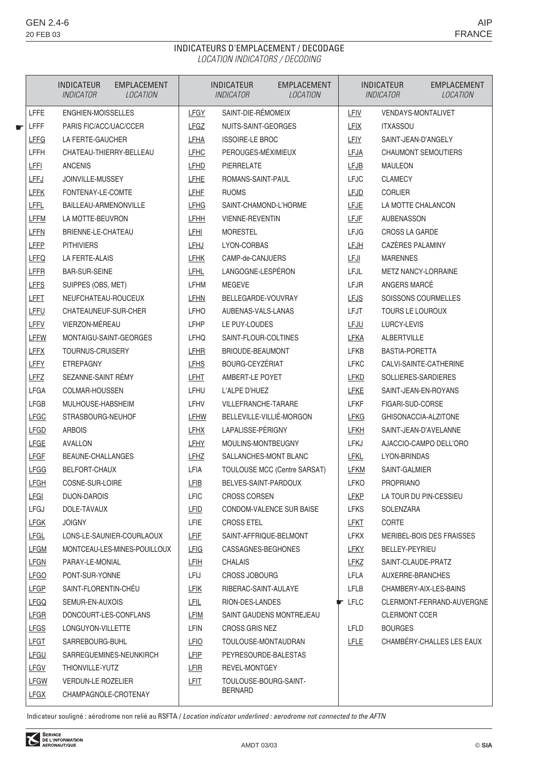## INDICATEURS D'EMPLACEMENT / DECODAGE LOCATION INDICATORS / DECODING

|   |             | <b>EMPLACEMENT</b><br><b>INDICATEUR</b><br><b>LOCATION</b><br><i><b>INDICATOR</b></i> |             | <b>INDICATEUR</b><br><i><b>INDICATOR</b></i> | <b>EMPLACEMENT</b><br>LOCATION |                            | <b>INDICATEUR</b><br><i><b>INDICATOR</b></i> | <b>EMPLACEMENT</b><br>LOCATION |
|---|-------------|---------------------------------------------------------------------------------------|-------------|----------------------------------------------|--------------------------------|----------------------------|----------------------------------------------|--------------------------------|
|   | <b>LFFE</b> | ENGHIEN-MOISSELLES                                                                    | <b>LFGY</b> | SAINT-DIE-RÉMOMEIX                           |                                | <b>LFIV</b>                | <b>VENDAYS-MONTALIVET</b>                    |                                |
| € | <b>LFFF</b> | PARIS FIC/ACC/UAC/CCER                                                                | LFGZ        | NUITS-SAINT-GEORGES                          |                                | LFIX                       | <b>ITXASSOU</b>                              |                                |
|   | <b>LFFG</b> | LA FERTE-GAUCHER                                                                      | LFHA        | <b>ISSOIRE-LE BROC</b>                       |                                | <b>LFIY</b>                | SAINT-JEAN-D'ANGELY                          |                                |
|   | LFFH        | CHATEAU-THIERRY-BELLEAU                                                               | <b>LFHC</b> | PEROUGES-MÉXIMIEUX                           |                                | LFJA                       |                                              | <b>CHAUMONT SEMOUTIERS</b>     |
|   | <b>LFFI</b> | <b>ANCENIS</b>                                                                        | LFHD        | PIERRELATE                                   |                                | LFJB                       | MAULEON                                      |                                |
|   | <b>LFFJ</b> | JOINVILLE-MUSSEY                                                                      | <b>LFHE</b> | ROMANS-SAINT-PAUL                            |                                | <b>LFJC</b>                | <b>CLAMECY</b>                               |                                |
|   | <b>LFFK</b> | FONTENAY-LE-COMTE                                                                     | <b>LFHF</b> | <b>RUOMS</b>                                 |                                | LFJD                       | <b>CORLIER</b>                               |                                |
|   | <b>LFFL</b> | BAILLEAU-ARMENONVILLE                                                                 | <b>LFHG</b> | SAINT-CHAMOND-L'HORME                        |                                | <b>LFJE</b>                | LA MOTTE CHALANCON                           |                                |
|   | <b>LFFM</b> | LA MOTTE-BEUVRON                                                                      | <b>LFHH</b> | <b>VIENNE-REVENTIN</b>                       |                                | LFJF                       | AUBENASSON                                   |                                |
|   | <b>LFFN</b> | BRIENNE-LE-CHATEAU                                                                    | LFHI        | <b>MORESTEL</b>                              |                                | <b>LFJG</b>                | CROSS LA GARDE                               |                                |
|   | <b>LFFP</b> | <b>PITHIVIERS</b>                                                                     | <u>LFHJ</u> | LYON-CORBAS                                  |                                | LFJH                       | CAZÈRES PALAMINY                             |                                |
|   | <b>LFFQ</b> | LA FERTE-ALAIS                                                                        | <b>LFHK</b> | CAMP-de-CANJUERS                             |                                | LFJI                       | <b>MARENNES</b>                              |                                |
|   | <b>LFFR</b> | <b>BAR-SUR-SEINE</b>                                                                  | <u>LFHL</u> | LANGOGNE-LESPÉRON                            |                                | <b>LFJL</b>                | <b>METZ NANCY-LORRAINE</b>                   |                                |
|   | <b>LFFS</b> | SUIPPES (OBS, MET)                                                                    | LFHM        | <b>MEGEVE</b>                                |                                | <b>LFJR</b>                | ANGERS MARCÉ                                 |                                |
|   | <u>LFFT</u> | NEUFCHATEAU-ROUCEUX                                                                   | <b>LFHN</b> | BELLEGARDE-VOUVRAY                           |                                | <b>LFJS</b>                |                                              | SOISSONS COURMELLES            |
|   | LFFU        | CHATEAUNEUF-SUR-CHER                                                                  | <b>LFHO</b> | AUBENAS-VALS-LANAS                           |                                | <b>LFJT</b>                | TOURS LE LOUROUX                             |                                |
|   | <b>LFFV</b> | VIERZON-MÉREAU                                                                        | LFHP        | LE PUY-LOUDES                                |                                | <b>LFJU</b>                | LURCY-LEVIS                                  |                                |
|   | <b>LFFW</b> | MONTAIGU-SAINT-GEORGES                                                                | <b>LFHQ</b> | SAINT-FLOUR-COLTINES                         |                                | <b>LFKA</b>                | ALBERTVILLE                                  |                                |
|   | <b>LFFX</b> | TOURNUS-CRUISERY                                                                      | <b>LFHR</b> | BRIOUDE-BEAUMONT                             |                                | <b>LFKB</b>                | BASTIA-PORETTA                               |                                |
|   | <b>LFFY</b> | <b>ETREPAGNY</b>                                                                      | LFHS        | BOURG-CEYZÉRIAT                              |                                | <b>LFKC</b>                |                                              | CALVI-SAINTE-CATHERINE         |
|   | LFFZ        | SEZANNE-SAINT RÉMY                                                                    | <b>LFHT</b> | AMBERT-LE POYET                              |                                | <b>LFKD</b>                | SOLLIERES-SARDIERES                          |                                |
|   | <b>LFGA</b> | COLMAR-HOUSSEN                                                                        | LFHU        | L'ALPE D'HUEZ                                |                                | <b>LFKE</b>                |                                              | SAINT-JEAN-EN-ROYANS           |
|   | <b>LFGB</b> | MULHOUSE-HABSHEIM                                                                     | LFHV        | VILLEFRANCHE-TARARE                          |                                | <b>LFKF</b>                | FIGARI-SUD-CORSE                             |                                |
|   | <b>LFGC</b> | STRASBOURG-NEUHOF                                                                     | LFHW        | BELLEVILLE-VILLIÉ-MORGON                     |                                | LFKG                       |                                              | GHISONACCIA-ALZITONE           |
|   | <b>LFGD</b> | <b>ARBOIS</b>                                                                         | <b>LFHX</b> | LAPALISSE-PÉRIGNY                            |                                | LFKH                       |                                              | SAINT-JEAN-D'AVELANNE          |
|   | <b>LFGE</b> | AVALLON                                                                               | <b>LFHY</b> | MOULINS-MONTBEUGNY                           |                                | LFKJ                       |                                              | AJACCIO-CAMPO DELL'ORO         |
|   | <b>LFGF</b> | BEAUNE-CHALLANGES                                                                     | LFHZ        | SALLANCHES-MONT BLANC                        |                                | LFKL                       | LYON-BRINDAS                                 |                                |
|   | <b>LFGG</b> | BELFORT-CHAUX                                                                         | LFIA        |                                              | TOULOUSE MCC (Centre SARSAT)   | <b>LFKM</b>                | SAINT-GALMIER                                |                                |
|   | <b>LFGH</b> | COSNE-SUR-LOIRE                                                                       | LFIB        | BELVES-SAINT-PARDOUX                         |                                | <b>LFKO</b>                | <b>PROPRIANO</b>                             |                                |
|   | <b>LFGI</b> | DIJON-DAROIS                                                                          | <b>LFIC</b> | <b>CROSS CORSEN</b>                          |                                | <b>LFKP</b>                |                                              | LA TOUR DU PIN-CESSIEU         |
|   | LFGJ        | DOLE-TAVAUX                                                                           | LFID        |                                              | CONDOM-VALENCE SUR BAISE       | <b>LFKS</b>                | <b>SOLENZARA</b>                             |                                |
|   | <b>LFGK</b> | <b>JOIGNY</b>                                                                         | LFIE        | <b>CROSS ETEL</b>                            |                                | LFKT                       | <b>CORTE</b>                                 |                                |
|   | <b>LFGL</b> | LONS-LE-SAUNIER-COURLAOUX                                                             | <u>LFIF</u> | SAINT-AFFRIQUE-BELMONT                       |                                | <b>LFKX</b>                |                                              | MERIBEL-BOIS DES FRAISSES      |
|   | <b>LFGM</b> | MONTCEAU-LES-MINES-POUILLOUX                                                          | <u>LFIG</u> | CASSAGNES-BEGHONES                           |                                | <b>LFKY</b>                | BELLEY-PEYRIEU                               |                                |
|   | <b>LFGN</b> | PARAY-LE-MONIAL                                                                       | <b>LFIH</b> | <b>CHALAIS</b>                               |                                | <b>LFKZ</b>                | SAINT-CLAUDE-PRATZ                           |                                |
|   | <b>LFGO</b> | PONT-SUR-YONNE                                                                        | LFIJ        | CROSS JOBOURG                                |                                | <b>LFLA</b>                | AUXERRE-BRANCHES                             |                                |
|   | <b>LFGP</b> | SAINT-FLORENTIN-CHEU                                                                  | <b>LFIK</b> | RIBERAC-SAINT-AULAYE                         |                                | <b>LFLB</b>                |                                              | CHAMBERY-AIX-LES-BAINS         |
|   | <b>LFGQ</b> | SEMUR-EN-AUXOIS                                                                       | <b>LFIL</b> | RION-DES-LANDES                              |                                | $\blacktriangleright$ LFLC |                                              | CLERMONT-FERRAND-AUVERGNE      |
|   | <b>LFGR</b> | DONCOURT-LES-CONFLANS                                                                 | <b>LFIM</b> |                                              | SAINT GAUDENS MONTREJEAU       |                            | <b>CLERMONT CCER</b>                         |                                |
|   | <b>LFGS</b> | LONGUYON-VILLETTE                                                                     | LFIN        | <b>CROSS GRIS NEZ</b>                        |                                | <b>LFLD</b>                | <b>BOURGES</b>                               |                                |
|   | <b>LFGT</b> | SARREBOURG-BUHL                                                                       | <b>LFIO</b> | TOULOUSE-MONTAUDRAN                          |                                | <b>LFLE</b>                |                                              | CHAMBÉRY-CHALLES LES EAUX      |
|   | LFGU        | SARREGUEMINES-NEUNKIRCH                                                               | LFIP        | PEYRESOURDE-BALESTAS                         |                                |                            |                                              |                                |
|   | <b>LFGV</b> | THIONVILLE-YUTZ                                                                       | LFIR        | REVEL-MONTGEY                                |                                |                            |                                              |                                |
|   | <b>LFGW</b> | <b>VERDUN-LE ROZELIER</b>                                                             | <u>LFIT</u> | TOULOUSE-BOURG-SAINT-<br><b>BERNARD</b>      |                                |                            |                                              |                                |
|   | <b>LFGX</b> | CHAMPAGNOLE-CROTENAY                                                                  |             |                                              |                                |                            |                                              |                                |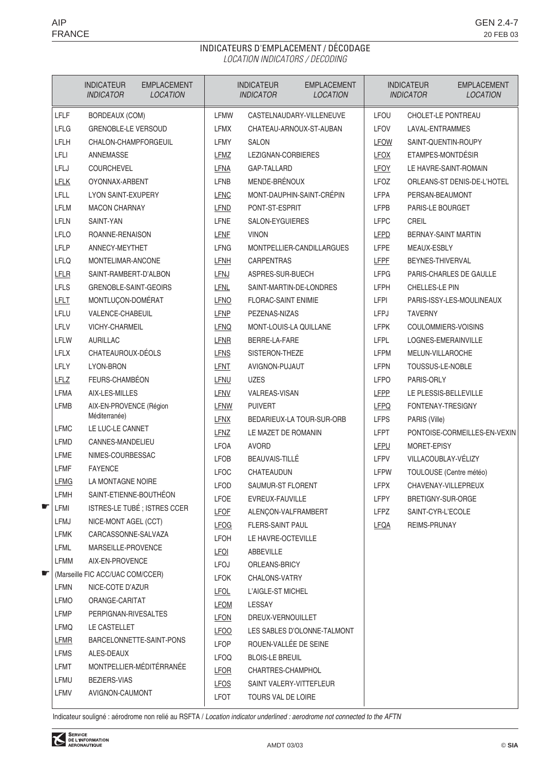# INDICATEURS D'EMPLACEMENT / DÉCODAGE LOCATION INDICATORS / DECODING

|    |                     | <b>INDICATEUR</b><br><b>INDICATOR</b> | <b>EMPLACEMENT</b><br><b>LOCATION</b> |                            | <b>INDICATEUR</b><br><b>INDICATOR</b>       | <b>EMPLACEMENT</b><br><b>LOCATION</b> |              | <b>INDICATEUR</b><br><b>INDICATOR</b> | <b>EMPLACEMENT</b><br><b>LOCATION</b> |
|----|---------------------|---------------------------------------|---------------------------------------|----------------------------|---------------------------------------------|---------------------------------------|--------------|---------------------------------------|---------------------------------------|
|    | LFLF                | <b>BORDEAUX (COM)</b>                 |                                       | LFMW                       |                                             | CASTELNAUDARY-VILLENEUVE              | LFOU         | CHOLET-LE PONTREAU                    |                                       |
|    | <b>LFLG</b>         | <b>GRENOBLE-LE VERSOUD</b>            |                                       | <b>LFMX</b>                |                                             | CHATEAU-ARNOUX-ST-AUBAN               | <b>LFOV</b>  | LAVAL-ENTRAMMES                       |                                       |
|    | LFLH                | CHALON-CHAMPFORGEUIL                  |                                       | <b>LFMY</b>                | <b>SALON</b>                                |                                       | LFOW         | SAINT-QUENTIN-ROUPY                   |                                       |
|    | LFLI                | ANNEMASSE                             |                                       | LFMZ                       | LEZIGNAN-CORBIERES                          |                                       | <b>LFOX</b>  | ETAMPES-MONTDÉSIR                     |                                       |
|    | LFLJ                | COURCHEVEL                            |                                       | LFNA                       | GAP-TALLARD                                 |                                       | LFOY         |                                       | LE HAVRE-SAINT-ROMAIN                 |
|    | <b>LFLK</b>         | OYONNAX-ARBENT                        |                                       | LFNB                       | MENDE-BRÉNOUX                               |                                       | <b>LFOZ</b>  |                                       | ORLEANS-ST DENIS-DE-L'HOTEL           |
|    | <b>LFLL</b>         | <b>LYON SAINT-EXUPERY</b>             |                                       | <b>LFNC</b>                |                                             | MONT-DAUPHIN-SAINT-CRÉPIN             | <b>LFPA</b>  | PERSAN-BEAUMONT                       |                                       |
|    | <b>LFLM</b>         | <b>MACON CHARNAY</b>                  |                                       | <b>LFND</b>                | PONT-ST-ESPRIT                              |                                       | <b>LFPB</b>  | PARIS-LE BOURGET                      |                                       |
|    | <b>LFLN</b>         | SAINT-YAN                             |                                       | <b>LFNE</b>                | SALON-EYGUIERES                             |                                       | <b>LFPC</b>  | CREIL                                 |                                       |
|    | <b>LFLO</b>         | ROANNE-RENAISON                       |                                       | <b>LFNF</b>                | <b>VINON</b>                                |                                       | <b>LFPD</b>  | <b>BERNAY-SAINT MARTIN</b>            |                                       |
|    | LFLP                | ANNECY-MEYTHET                        |                                       | <b>LFNG</b>                |                                             | MONTPELLIER-CANDILLARGUES             | <b>LFPE</b>  | MEAUX-ESBLY                           |                                       |
|    | <b>LFLQ</b>         | MONTELIMAR-ANCONE                     |                                       | LFNH                       | <b>CARPENTRAS</b>                           |                                       | <b>LFPF</b>  | BEYNES-THIVERVAL                      |                                       |
|    | <b>LFLR</b>         | SAINT-RAMBERT-D'ALBON                 |                                       | <b>LFNJ</b>                | ASPRES-SUR-BUECH                            |                                       | <b>LFPG</b>  |                                       | PARIS-CHARLES DE GAULLE               |
|    | <b>LFLS</b>         | GRENOBLE-SAINT-GEOIRS                 |                                       | <b>LFNL</b>                |                                             | SAINT-MARTIN-DE-LONDRES               | <b>LFPH</b>  | CHELLES-LE PIN                        |                                       |
|    | <b>LFLT</b><br>LFLU | MONTLUÇON-DOMÉRAT<br>VALENCE-CHABEUIL |                                       | <b>LFNO</b>                | <b>FLORAC-SAINT ENIMIE</b><br>PEZENAS-NIZAS |                                       | LFPI<br>LFPJ | <b>TAVERNY</b>                        | PARIS-ISSY-LES-MOULINEAUX             |
|    | LFLV                | <b>VICHY-CHARMEIL</b>                 |                                       | <b>LFNP</b>                | MONT-LOUIS-LA QUILLANE                      |                                       | <b>LFPK</b>  |                                       | COULOMMIERS-VOISINS                   |
|    | LFLW                | AURILLAC                              |                                       | <b>LFNQ</b><br><b>LFNR</b> | BERRE-LA-FARE                               |                                       | <b>LFPL</b>  | LOGNES-EMERAINVILLE                   |                                       |
|    | <b>LFLX</b>         | CHATEAUROUX-DÉOLS                     |                                       | <b>LFNS</b>                | SISTERON-THEZE                              |                                       | <b>LFPM</b>  | MELUN-VILLAROCHE                      |                                       |
|    | <b>LFLY</b>         | LYON-BRON                             |                                       | LFNT                       | AVIGNON-PUJAUT                              |                                       | <b>LFPN</b>  | TOUSSUS-LE-NOBLE                      |                                       |
|    | <b>LFLZ</b>         | FEURS-CHAMBÉON                        |                                       | LFNU                       | <b>UZES</b>                                 |                                       | <b>LFPO</b>  | PARIS-ORLY                            |                                       |
|    | LFMA                | AIX-LES-MILLES                        |                                       | <b>LFNV</b>                | VALREAS-VISAN                               |                                       | <b>LFPP</b>  |                                       | LE PLESSIS-BELLEVILLE                 |
|    | <b>LFMB</b>         | AIX-EN-PROVENCE (Région               |                                       | <b>LFNW</b>                | <b>PUIVERT</b>                              |                                       | <b>LFPQ</b>  | FONTENAY-TRESIGNY                     |                                       |
|    |                     | Méditerranée)                         |                                       | <b>LFNX</b>                |                                             | BEDARIEUX-LA TOUR-SUR-ORB             | <b>LFPS</b>  | PARIS (Ville)                         |                                       |
|    | <b>LFMC</b>         | LE LUC-LE CANNET                      |                                       | LFNZ                       | LE MAZET DE ROMANIN                         |                                       | <b>LFPT</b>  |                                       | PONTOISE-CORMEILLES-EN-VEXIN          |
|    | <b>LFMD</b>         | CANNES-MANDELIEU                      |                                       | <b>LFOA</b>                | <b>AVORD</b>                                |                                       | LFPU         | MORET-EPISY                           |                                       |
|    | LFME                | NIMES-COURBESSAC                      |                                       | <b>LFOB</b>                | BEAUVAIS-TILLÉ                              |                                       | <b>LFPV</b>  | VILLACOUBLAY-VÉLIZY                   |                                       |
|    | <b>LFMF</b>         | <b>FAYENCE</b>                        |                                       | <b>LFOC</b>                | CHATEAUDUN                                  |                                       | <b>LFPW</b>  |                                       | TOULOUSE (Centre météo)               |
|    | <b>LFMG</b>         | LA MONTAGNE NOIRE                     |                                       | <b>LFOD</b>                | SAUMUR-ST FLORENT                           |                                       | <b>LFPX</b>  |                                       | CHAVENAY-VILLEPREUX                   |
|    | <b>LFMH</b>         | SAINT-ETIENNE-BOUTHÉON                |                                       | LFOE                       | EVREUX-FAUVILLE                             |                                       | LFPY         | BRETIGNY-SUR-ORGE                     |                                       |
| శ్ | LFMI                |                                       | ISTRES-LE TUBÉ ; ISTRES CCER          | <b>LFOF</b>                | ALENÇON-VALFRAMBERT                         |                                       | LFPZ         | SAINT-CYR-L'ECOLE                     |                                       |
|    | LFMJ                | NICE-MONT AGEL (CCT)                  |                                       | <b>LFOG</b>                | FLERS-SAINT PAUL                            |                                       | <b>LFQA</b>  | REIMS-PRUNAY                          |                                       |
|    | LFMK                | CARCASSONNE-SALVAZA                   |                                       | LFOH                       | LE HAVRE-OCTEVILLE                          |                                       |              |                                       |                                       |
|    | <b>LFML</b>         | MARSEILLE-PROVENCE                    |                                       | <u>LFOI</u>                | ABBEVILLE                                   |                                       |              |                                       |                                       |
|    | <b>LFMM</b>         | AIX-EN-PROVENCE                       |                                       | LFOJ                       | ORLEANS-BRICY                               |                                       |              |                                       |                                       |
| ≪  |                     | (Marseille FIC ACC/UAC COM/CCER)      |                                       | <b>LFOK</b>                | CHALONS-VATRY                               |                                       |              |                                       |                                       |
|    | LFMN                | NICE-COTE D'AZUR                      |                                       | <b>LFOL</b>                | L'AIGLE-ST MICHEL                           |                                       |              |                                       |                                       |
|    | LFMO                | ORANGE-CARITAT                        |                                       | <b>LFOM</b>                | LESSAY                                      |                                       |              |                                       |                                       |
|    | <b>LFMP</b>         | PERPIGNAN-RIVESALTES                  |                                       | <b>LFON</b>                | DREUX-VERNOUILLET                           |                                       |              |                                       |                                       |
|    | <b>LFMQ</b>         | LE CASTELLET                          |                                       | <b>LFOO</b>                |                                             | LES SABLES D'OLONNE-TALMONT           |              |                                       |                                       |
|    | <b>LFMR</b>         |                                       | BARCELONNETTE-SAINT-PONS              | LFOP                       | ROUEN-VALLÉE DE SEINE                       |                                       |              |                                       |                                       |
|    | <b>LFMS</b><br>LFMT | ALES-DEAUX                            | MONTPELLIER-MÉDITÉRRANÉE              | <b>LFOQ</b>                | <b>BLOIS-LE BREUIL</b>                      |                                       |              |                                       |                                       |
|    | LFMU                |                                       |                                       | <b>LFOR</b>                | CHARTRES-CHAMPHOL                           |                                       |              |                                       |                                       |
|    |                     | BEZIERS-VIAS                          |                                       | <b>LFOS</b>                | SAINT VALERY-VITTEFLEUR                     |                                       |              |                                       |                                       |
|    | LFMV                | AVIGNON-CAUMONT                       |                                       | <b>LFOT</b>                | TOURS VAL DE LOIRE                          |                                       |              |                                       |                                       |